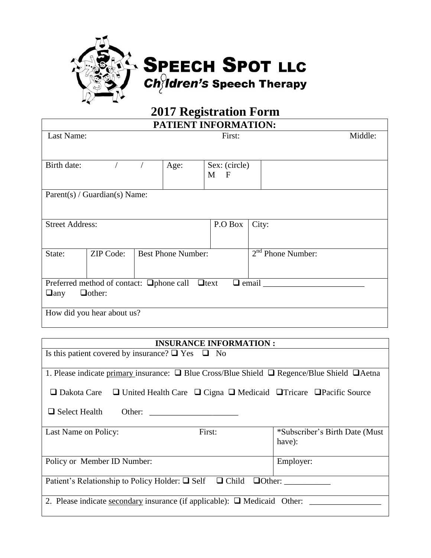

## **2017 Registration Form**

| <b>PATIENT INFORMATION:</b>                                                                              |                  |                           |         |               |                     |         |  |  |
|----------------------------------------------------------------------------------------------------------|------------------|---------------------------|---------|---------------|---------------------|---------|--|--|
| Last Name:                                                                                               |                  | First:                    |         |               |                     | Middle: |  |  |
|                                                                                                          |                  |                           |         |               |                     |         |  |  |
| Birth date:                                                                                              |                  | Age:                      |         | Sex: (circle) |                     |         |  |  |
|                                                                                                          |                  |                           |         | $M$ F         |                     |         |  |  |
| Parent(s) / Guardian(s) Name:                                                                            |                  |                           |         |               |                     |         |  |  |
|                                                                                                          |                  |                           |         |               |                     |         |  |  |
| <b>Street Address:</b>                                                                                   |                  |                           | P.O Box | City:         |                     |         |  |  |
|                                                                                                          |                  |                           |         |               |                     |         |  |  |
| State:                                                                                                   | <b>ZIP Code:</b> | <b>Best Phone Number:</b> |         |               | $2nd$ Phone Number: |         |  |  |
|                                                                                                          |                  |                           |         |               |                     |         |  |  |
| $\Box$ email $\_\_\_\_\_\_\_\_\_\_\_\_\_\$<br>Preferred method of contact: $\Box$ phone call $\Box$ text |                  |                           |         |               |                     |         |  |  |
| $\Box$ other:<br>$\Box$ any                                                                              |                  |                           |         |               |                     |         |  |  |
| How did you hear about us?                                                                               |                  |                           |         |               |                     |         |  |  |
|                                                                                                          |                  |                           |         |               |                     |         |  |  |

## **INSURANCE INFORMATION :** Is this patient covered by insurance?  $\Box$  Yes  $\Box$  No 1. Please indicate primary insurance:  $\Box$  Blue Cross/Blue Shield  $\Box$  Regence/Blue Shield  $\Box$  Aetna Dakota Care United Health Care Cigna Medicaid Tricare Pacific Source  $\Box$  Select Health Other: Last Name on Policy: First:  $*$ Subscriber's Birth Date (Must have): Policy or Member ID Number: Employer: Patient's Relationship to Policy Holder: Self Child Other: \_\_\_\_\_\_\_\_\_\_\_ 2. Please indicate secondary insurance (if applicable):  $\Box$  Medicaid Other: